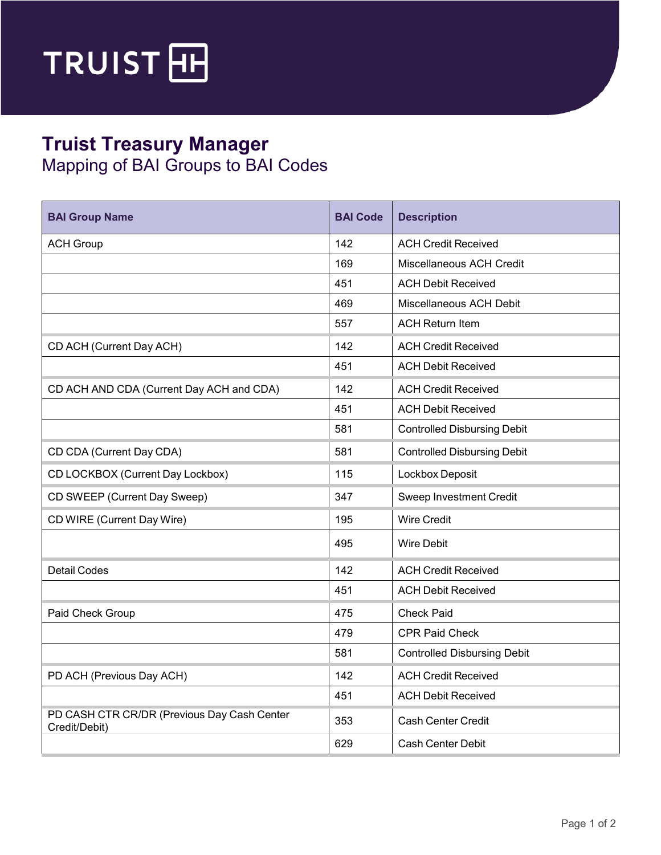

## **Truist Treasury Manager**

Mapping of BAI Groups to BAI Codes

| <b>BAI Group Name</b>                                        | <b>BAI Code</b> | <b>Description</b>                 |
|--------------------------------------------------------------|-----------------|------------------------------------|
| <b>ACH Group</b>                                             | 142             | <b>ACH Credit Received</b>         |
|                                                              | 169             | Miscellaneous ACH Credit           |
|                                                              | 451             | <b>ACH Debit Received</b>          |
|                                                              | 469             | Miscellaneous ACH Debit            |
|                                                              | 557             | <b>ACH Return Item</b>             |
| CD ACH (Current Day ACH)                                     | 142             | <b>ACH Credit Received</b>         |
|                                                              | 451             | <b>ACH Debit Received</b>          |
| CD ACH AND CDA (Current Day ACH and CDA)                     | 142             | <b>ACH Credit Received</b>         |
|                                                              | 451             | <b>ACH Debit Received</b>          |
|                                                              | 581             | <b>Controlled Disbursing Debit</b> |
| CD CDA (Current Day CDA)                                     | 581             | <b>Controlled Disbursing Debit</b> |
| CD LOCKBOX (Current Day Lockbox)                             | 115             | Lockbox Deposit                    |
| CD SWEEP (Current Day Sweep)                                 | 347             | Sweep Investment Credit            |
| CD WIRE (Current Day Wire)                                   | 195             | <b>Wire Credit</b>                 |
|                                                              | 495             | <b>Wire Debit</b>                  |
| <b>Detail Codes</b>                                          | 142             | <b>ACH Credit Received</b>         |
|                                                              | 451             | <b>ACH Debit Received</b>          |
| Paid Check Group                                             | 475             | <b>Check Paid</b>                  |
|                                                              | 479             | CPR Paid Check                     |
|                                                              | 581             | <b>Controlled Disbursing Debit</b> |
| PD ACH (Previous Day ACH)                                    | 142             | <b>ACH Credit Received</b>         |
|                                                              | 451             | <b>ACH Debit Received</b>          |
| PD CASH CTR CR/DR (Previous Day Cash Center<br>Credit/Debit) | 353             | Cash Center Credit                 |
|                                                              | 629             | Cash Center Debit                  |